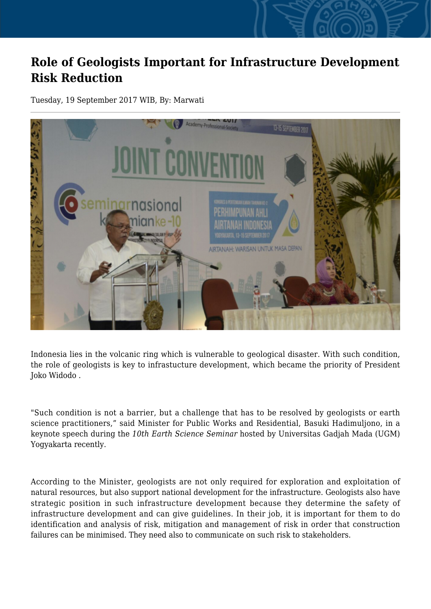## **Role of Geologists Important for Infrastructure Development Risk Reduction**

Tuesday, 19 September 2017 WIB, By: Marwati



Indonesia lies in the volcanic ring which is vulnerable to geological disaster. With such condition, the role of geologists is key to infrastucture development, which became the priority of President Joko Widodo .

"Such condition is not a barrier, but a challenge that has to be resolved by geologists or earth science practitioners," said Minister for Public Works and Residential, Basuki Hadimuljono, in a keynote speech during the *10th Earth Science Seminar* hosted by Universitas Gadjah Mada (UGM) Yogyakarta recently.

According to the Minister, geologists are not only required for exploration and exploitation of natural resources, but also support national development for the infrastructure. Geologists also have strategic position in such infrastructure development because they determine the safety of infrastructure development and can give guidelines. In their job, it is important for them to do identification and analysis of risk, mitigation and management of risk in order that construction failures can be minimised. They need also to communicate on such risk to stakeholders.